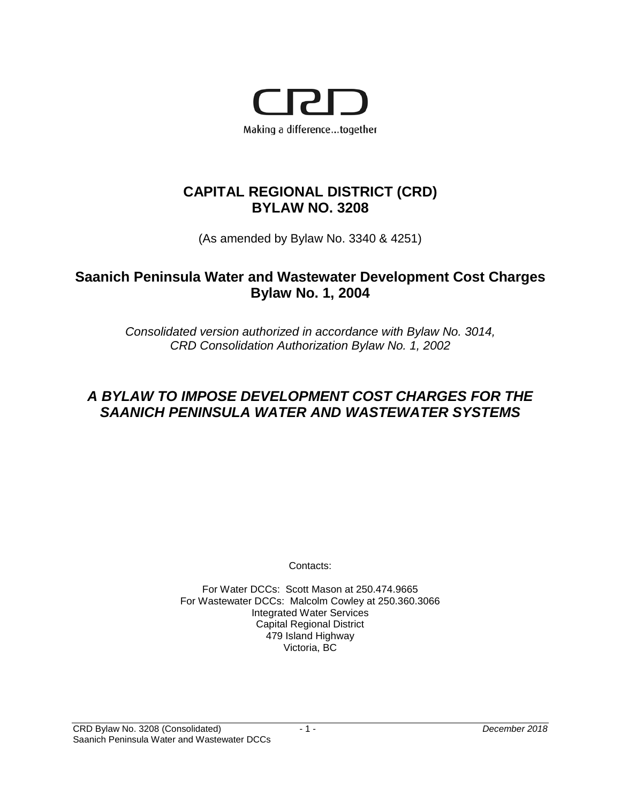

# **CAPITAL REGIONAL DISTRICT (CRD) BYLAW NO. 3208**

(As amended by Bylaw No. 3340 & 4251)

# **Saanich Peninsula Water and Wastewater Development Cost Charges Bylaw No. 1, 2004**

*Consolidated version authorized in accordance with Bylaw No. 3014, CRD Consolidation Authorization Bylaw No. 1, 2002*

# *A BYLAW TO IMPOSE DEVELOPMENT COST CHARGES FOR THE SAANICH PENINSULA WATER AND WASTEWATER SYSTEMS*

Contacts:

For Water DCCs: Scott Mason at 250.474.9665 For Wastewater DCCs: Malcolm Cowley at 250.360.3066 Integrated Water Services Capital Regional District 479 Island Highway Victoria, BC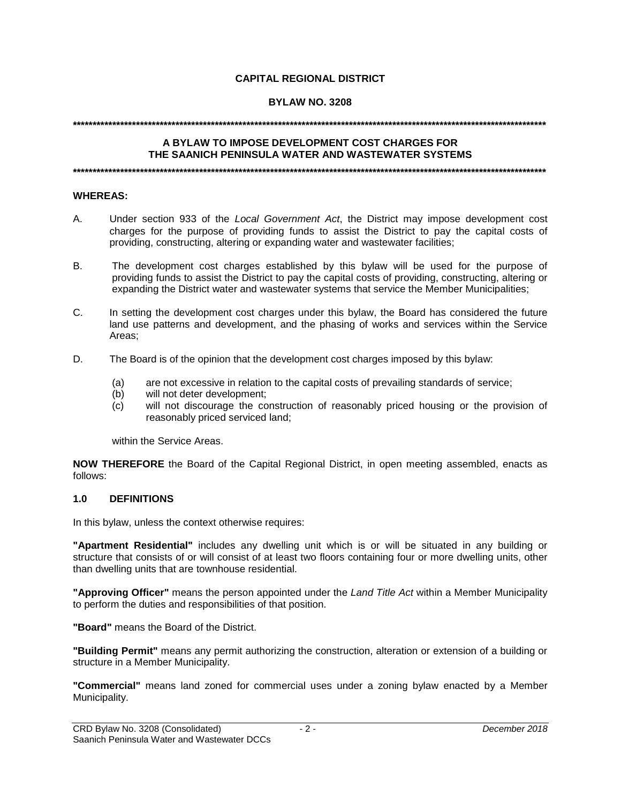## **CAPITAL REGIONAL DISTRICT**

## **BYLAW NO. 3208**

#### **\*\*\*\*\*\*\*\*\*\*\*\*\*\*\*\*\*\*\*\*\*\*\*\*\*\*\*\*\*\*\*\*\*\*\*\*\*\*\*\*\*\*\*\*\*\*\*\*\*\*\*\*\*\*\*\*\*\*\*\*\*\*\*\*\*\*\*\*\*\*\*\*\*\*\*\*\*\*\*\*\*\*\*\*\*\*\*\*\*\*\*\*\*\*\*\*\*\*\*\*\*\*\*\*\*\*\*\*\*\*\*\*\*\*\*\*\*\*\*\***

#### **A BYLAW TO IMPOSE DEVELOPMENT COST CHARGES FOR THE SAANICH PENINSULA WATER AND WASTEWATER SYSTEMS**

**\*\*\*\*\*\*\*\*\*\*\*\*\*\*\*\*\*\*\*\*\*\*\*\*\*\*\*\*\*\*\*\*\*\*\*\*\*\*\*\*\*\*\*\*\*\*\*\*\*\*\*\*\*\*\*\*\*\*\*\*\*\*\*\*\*\*\*\*\*\*\*\*\*\*\*\*\*\*\*\*\*\*\*\*\*\*\*\*\*\*\*\*\*\*\*\*\*\*\*\*\*\*\*\*\*\*\*\*\*\*\*\*\*\*\*\*\*\*\*\***

#### **WHEREAS:**

- A. Under section 933 of the *Local Government Act*, the District may impose development cost charges for the purpose of providing funds to assist the District to pay the capital costs of providing, constructing, altering or expanding water and wastewater facilities;
- B. The development cost charges established by this bylaw will be used for the purpose of providing funds to assist the District to pay the capital costs of providing, constructing, altering or expanding the District water and wastewater systems that service the Member Municipalities;
- C. In setting the development cost charges under this bylaw, the Board has considered the future land use patterns and development, and the phasing of works and services within the Service Areas;
- D. The Board is of the opinion that the development cost charges imposed by this bylaw:
	- (a) are not excessive in relation to the capital costs of prevailing standards of service;
	- (b) will not deter development;
	- (c) will not discourage the construction of reasonably priced housing or the provision of reasonably priced serviced land;

within the Service Areas.

**NOW THEREFORE** the Board of the Capital Regional District, in open meeting assembled, enacts as follows:

## **1.0 DEFINITIONS**

In this bylaw, unless the context otherwise requires:

**"Apartment Residential"** includes any dwelling unit which is or will be situated in any building or structure that consists of or will consist of at least two floors containing four or more dwelling units, other than dwelling units that are townhouse residential.

**"Approving Officer"** means the person appointed under the *Land Title Act* within a Member Municipality to perform the duties and responsibilities of that position.

**"Board"** means the Board of the District.

**"Building Permit"** means any permit authorizing the construction, alteration or extension of a building or structure in a Member Municipality.

**"Commercial"** means land zoned for commercial uses under a zoning bylaw enacted by a Member Municipality.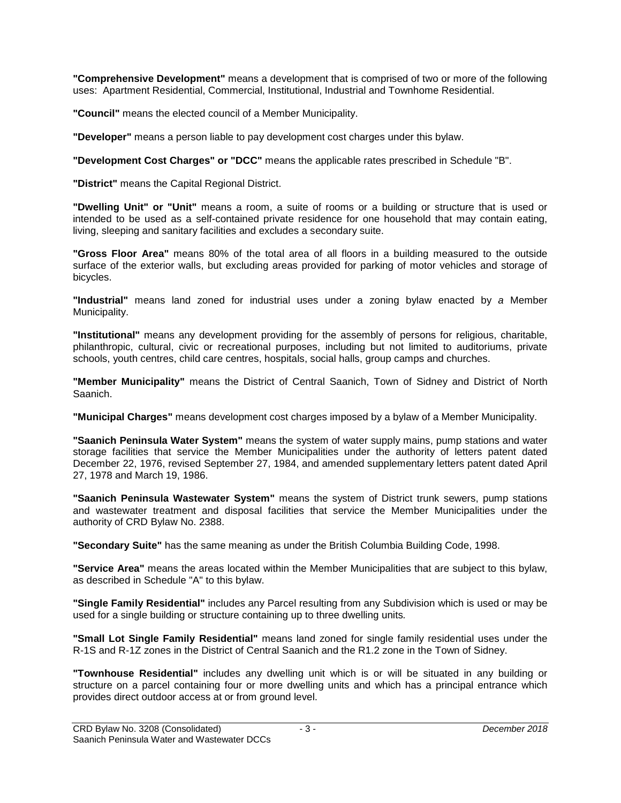**"Comprehensive Development"** means a development that is comprised of two or more of the following uses: Apartment Residential, Commercial, Institutional, Industrial and Townhome Residential.

**"Council"** means the elected council of a Member Municipality.

**"Developer"** means a person liable to pay development cost charges under this bylaw.

**"Development Cost Charges" or "DCC"** means the applicable rates prescribed in Schedule "B".

**"District"** means the Capital Regional District.

**"Dwelling Unit" or "Unit"** means a room, a suite of rooms or a building or structure that is used or intended to be used as a self-contained private residence for one household that may contain eating, living, sleeping and sanitary facilities and excludes a secondary suite.

**"Gross Floor Area"** means 80% of the total area of all floors in a building measured to the outside surface of the exterior walls, but excluding areas provided for parking of motor vehicles and storage of bicycles.

**"Industrial"** means land zoned for industrial uses under a zoning bylaw enacted by *a* Member Municipality.

**"Institutional"** means any development providing for the assembly of persons for religious, charitable, philanthropic, cultural, civic or recreational purposes, including but not limited to auditoriums, private schools, youth centres, child care centres, hospitals, social halls, group camps and churches.

**"Member Municipality"** means the District of Central Saanich, Town of Sidney and District of North Saanich.

**"Municipal Charges"** means development cost charges imposed by a bylaw of a Member Municipality.

**"Saanich Peninsula Water System"** means the system of water supply mains, pump stations and water storage facilities that service the Member Municipalities under the authority of letters patent dated December 22, 1976, revised September 27, 1984, and amended supplementary letters patent dated April 27, 1978 and March 19, 1986.

**"Saanich Peninsula Wastewater System"** means the system of District trunk sewers, pump stations and wastewater treatment and disposal facilities that service the Member Municipalities under the authority of CRD Bylaw No. 2388.

**"Secondary Suite"** has the same meaning as under the British Columbia Building Code, 1998.

**"Service Area"** means the areas located within the Member Municipalities that are subject to this bylaw, as described in Schedule "A" to this bylaw.

**"Single Family Residential"** includes any Parcel resulting from any Subdivision which is used or may be used for a single building or structure containing up to three dwelling units*.*

**"Small Lot Single Family Residential"** means land zoned for single family residential uses under the R-1S and R-1Z zones in the District of Central Saanich and the R1.2 zone in the Town of Sidney.

**"Townhouse Residential"** includes any dwelling unit which is or will be situated in any building or structure on a parcel containing four or more dwelling units and which has a principal entrance which provides direct outdoor access at or from ground level.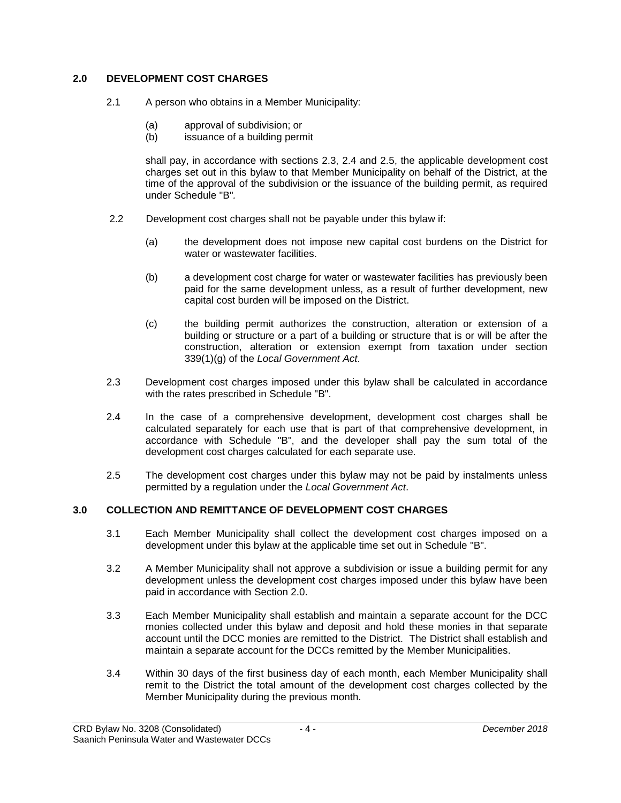# **2.0 DEVELOPMENT COST CHARGES**

- 2.1 A person who obtains in a Member Municipality:
	- (a) approval of subdivision; or
	- (b) issuance of a building permit

shall pay, in accordance with sections 2.3, 2.4 and 2.5, the applicable development cost charges set out in this bylaw to that Member Municipality on behalf of the District, at the time of the approval of the subdivision or the issuance of the building permit, as required under Schedule "B"*.*

- 2.2 Development cost charges shall not be payable under this bylaw if:
	- (a) the development does not impose new capital cost burdens on the District for water or wastewater facilities.
	- (b) a development cost charge for water or wastewater facilities has previously been paid for the same development unless, as a result of further development, new capital cost burden will be imposed on the District.
	- (c) the building permit authorizes the construction, alteration or extension of a building or structure or a part of a building or structure that is or will be after the construction, alteration or extension exempt from taxation under section 339(1)(g) of the *Local Government Act*.
- 2.3 Development cost charges imposed under this bylaw shall be calculated in accordance with the rates prescribed in Schedule "B".
- 2.4 In the case of a comprehensive development, development cost charges shall be calculated separately for each use that is part of that comprehensive development, in accordance with Schedule "B", and the developer shall pay the sum total of the development cost charges calculated for each separate use.
- 2.5 The development cost charges under this bylaw may not be paid by instalments unless permitted by a regulation under the *Local Government Act*.

# **3.0 COLLECTION AND REMITTANCE OF DEVELOPMENT COST CHARGES**

- 3.1 Each Member Municipality shall collect the development cost charges imposed on a development under this bylaw at the applicable time set out in Schedule "B".
- 3.2 A Member Municipality shall not approve a subdivision or issue a building permit for any development unless the development cost charges imposed under this bylaw have been paid in accordance with Section 2.0.
- 3.3 Each Member Municipality shall establish and maintain a separate account for the DCC monies collected under this bylaw and deposit and hold these monies in that separate account until the DCC monies are remitted to the District. The District shall establish and maintain a separate account for the DCCs remitted by the Member Municipalities.
- 3.4 Within 30 days of the first business day of each month, each Member Municipality shall remit to the District the total amount of the development cost charges collected by the Member Municipality during the previous month.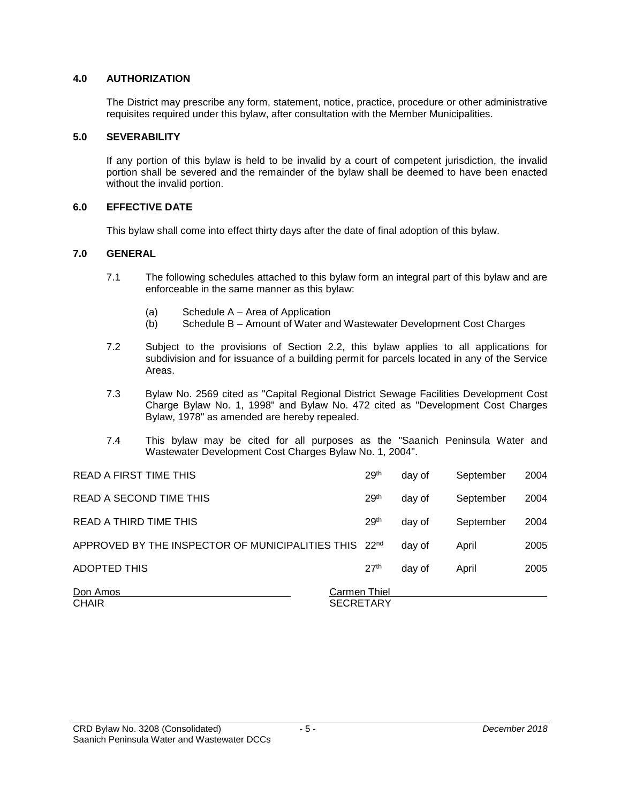## **4.0 AUTHORIZATION**

The District may prescribe any form, statement, notice, practice, procedure or other administrative requisites required under this bylaw, after consultation with the Member Municipalities.

#### **5.0 SEVERABILITY**

If any portion of this bylaw is held to be invalid by a court of competent jurisdiction, the invalid portion shall be severed and the remainder of the bylaw shall be deemed to have been enacted without the invalid portion.

## **6.0 EFFECTIVE DATE**

This bylaw shall come into effect thirty days after the date of final adoption of this bylaw.

## **7.0 GENERAL**

- 7.1 The following schedules attached to this bylaw form an integral part of this bylaw and are enforceable in the same manner as this bylaw:
	- (a) Schedule  $A A$ rea of Application<br>(b) Schedule  $B A$ mount of Water ar
	- Schedule B Amount of Water and Wastewater Development Cost Charges
- 7.2 Subject to the provisions of Section 2.2, this bylaw applies to all applications for subdivision and for issuance of a building permit for parcels located in any of the Service Areas.
- 7.3 Bylaw No. 2569 cited as "Capital Regional District Sewage Facilities Development Cost Charge Bylaw No. 1, 1998" and Bylaw No. 472 cited as "Development Cost Charges Bylaw, 1978" as amended are hereby repealed.
- 7.4 This bylaw may be cited for all purposes as the "Saanich Peninsula Water and Wastewater Development Cost Charges Bylaw No. 1, 2004".

| <b>READ A FIRST TIME THIS</b>                         | 29 <sup>th</sup>                 | day of | September | 2004 |
|-------------------------------------------------------|----------------------------------|--------|-----------|------|
| READ A SECOND TIME THIS                               | 29 <sup>th</sup>                 | day of | September | 2004 |
| READ A THIRD TIME THIS                                | 29 <sup>th</sup>                 | day of | September | 2004 |
| APPROVED BY THE INSPECTOR OF MUNICIPALITIES THIS 22nd |                                  | day of | April     | 2005 |
| ADOPTED THIS                                          | 27 <sup>th</sup>                 | day of | April     | 2005 |
| Don Amos<br><b>CHAIR</b>                              | Carmen Thiel<br><b>SECRETARY</b> |        |           |      |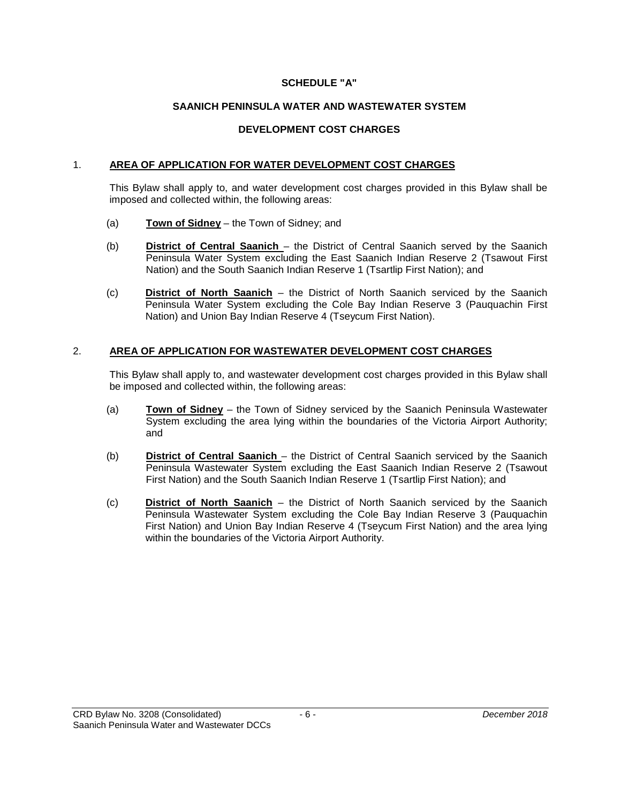#### **SCHEDULE "A"**

## **SAANICH PENINSULA WATER AND WASTEWATER SYSTEM**

## **DEVELOPMENT COST CHARGES**

#### 1. **AREA OF APPLICATION FOR WATER DEVELOPMENT COST CHARGES**

This Bylaw shall apply to, and water development cost charges provided in this Bylaw shall be imposed and collected within, the following areas:

- (a) **Town of Sidney** the Town of Sidney; and
- (b) **District of Central Saanich** the District of Central Saanich served by the Saanich Peninsula Water System excluding the East Saanich Indian Reserve 2 (Tsawout First Nation) and the South Saanich Indian Reserve 1 (Tsartlip First Nation); and
- (c) **District of North Saanich** the District of North Saanich serviced by the Saanich Peninsula Water System excluding the Cole Bay Indian Reserve 3 (Pauquachin First Nation) and Union Bay Indian Reserve 4 (Tseycum First Nation).

## 2. **AREA OF APPLICATION FOR WASTEWATER DEVELOPMENT COST CHARGES**

This Bylaw shall apply to, and wastewater development cost charges provided in this Bylaw shall be imposed and collected within, the following areas:

- (a) **Town of Sidney** the Town of Sidney serviced by the Saanich Peninsula Wastewater System excluding the area lying within the boundaries of the Victoria Airport Authority; and
- (b) **District of Central Saanich** the District of Central Saanich serviced by the Saanich Peninsula Wastewater System excluding the East Saanich Indian Reserve 2 (Tsawout First Nation) and the South Saanich Indian Reserve 1 (Tsartlip First Nation); and
- (c) **District of North Saanich** the District of North Saanich serviced by the Saanich Peninsula Wastewater System excluding the Cole Bay Indian Reserve 3 (Pauquachin First Nation) and Union Bay Indian Reserve 4 (Tseycum First Nation) and the area lying within the boundaries of the Victoria Airport Authority.